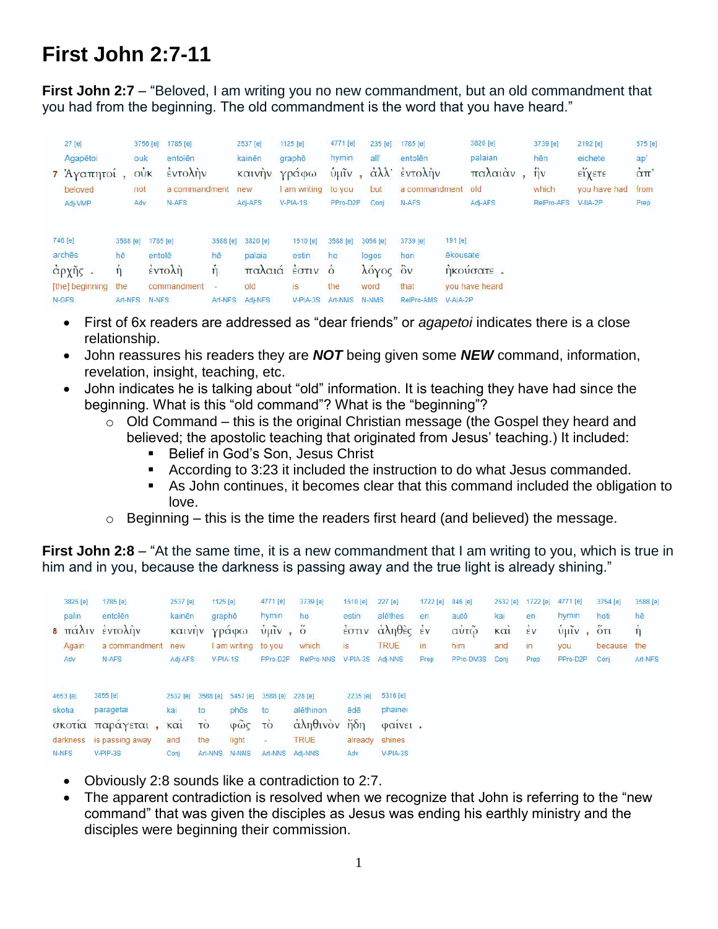## **First John 2:7-11**

**First John 2:7** – "Beloved, I am writing you no new commandment, but an old commandment that you had from the beginning. The old commandment is the word that you have heard."

| 27 [e]<br>Agapētoi<br>7 Άγαπητοί,<br>beloved<br>Adj-VMP |                                        | 3756 [e]<br>ouk<br>$o\dot{v}$<br>not<br>Adv | 1785 [e]<br>entolên<br>έντολην<br>a commandment<br>N-AFS                                                                                                                                                                                                                                                                           |                                     | 2537 [e]<br>kainēn<br>καινην<br>new<br>Adj-AFS | 1125 $[e]$<br>graphō<br>Υραφω<br>am writing to you<br>V-PIA-1S | 4771 [e]<br>hymin<br>ύμιν<br>PPro-D2P             | 235 [e]<br>all<br>$\sim$<br>but<br>Conj     | 1785 [e]<br>entolên<br>άλλ' έντολην<br>a commandment old<br>N-AFS |                                 | 3820 [e]<br>palaian<br>παλαιάν<br>Adj-AFS | 3739 [e]<br>hēn<br>$\hat{\eta}$ v<br>which<br>RelPro-AFS | 2192 [e]<br>eichete<br><b>ΕΙΥΕΤΕ</b><br>you have had<br>$V-HA-2P$ | 575 [e]<br>ap'<br>$\alpha$ TT<br>from<br>Prep |
|---------------------------------------------------------|----------------------------------------|---------------------------------------------|------------------------------------------------------------------------------------------------------------------------------------------------------------------------------------------------------------------------------------------------------------------------------------------------------------------------------------|-------------------------------------|------------------------------------------------|----------------------------------------------------------------|---------------------------------------------------|---------------------------------------------|-------------------------------------------------------------------|---------------------------------|-------------------------------------------|----------------------------------------------------------|-------------------------------------------------------------------|-----------------------------------------------|
| 746 [e]<br>archēs<br>άρχῆς.<br>[the] beginning<br>N-GFS | 3588 [e]<br>hē<br>11<br>the<br>Art-NFS | 1785 [e]<br>entolē<br>N-NFS                 | $\frac{1}{2}$ $\frac{1}{2}$ $\frac{1}{2}$ $\frac{1}{2}$ $\frac{1}{2}$ $\frac{1}{2}$ $\frac{1}{2}$ $\frac{1}{2}$ $\frac{1}{2}$ $\frac{1}{2}$ $\frac{1}{2}$ $\frac{1}{2}$ $\frac{1}{2}$ $\frac{1}{2}$ $\frac{1}{2}$ $\frac{1}{2}$ $\frac{1}{2}$ $\frac{1}{2}$ $\frac{1}{2}$ $\frac{1}{2}$ $\frac{1}{2}$ $\frac{1}{2}$<br>commandment | 3588 [e]<br>hē<br>n<br>÷<br>Art-NFS | 3820 [e]<br>palaia<br>old<br>Adi-NFS           | 1510 [e]<br>estin<br>παλαιά έστιν<br>is<br>$V-PIA-3S$          | 3588 [e]<br>ho<br>$\dot{\circ}$<br>the<br>Art-NMS | 3056 [e]<br>logos<br>λόγος<br>word<br>N-NMS | 3739 [e]<br>hon<br>$\delta v$<br>that<br>RelPro-AMS               | 191 [e]<br>ēkousate<br>V-AIA-2P | ηκούσατε.<br>you have heard               |                                                          |                                                                   |                                               |

- First of 6x readers are addressed as "dear friends" or *agapetoi* indicates there is a close relationship.
- John reassures his readers they are *NOT* being given some *NEW* command, information, revelation, insight, teaching, etc.
- John indicates he is talking about "old" information. It is teaching they have had since the beginning. What is this "old command"? What is the "beginning"?
	- $\circ$  Old Command this is the original Christian message (the Gospel they heard and believed; the apostolic teaching that originated from Jesus' teaching.) It included:
		- **Belief in God's Son, Jesus Christ**
		- According to 3:23 it included the instruction to do what Jesus commanded.
		- As John continues, it becomes clear that this command included the obligation to love.
	- $\circ$  Beginning this is the time the readers first heard (and believed) the message.

**First John 2:8** – "At the same time, it is a new commandment that I am writing to you, which is true in him and in you, because the darkness is passing away and the true light is already shining."

| 3825 [e]<br>palin<br>Again<br>Adv     | <b>INSERIES</b><br>1785 [e]<br>entolēn<br>8 πάλιν έντολήν<br>a commandment<br>N-AFS | 2537 [e]<br>kainēn<br>new<br>Adj-AFS        | 1125 [e]<br>grapho<br>καινήν γράφω<br>I am writing to you<br>$V-PIA-1S$                                     | 4771 [e]<br>hymin<br>$\hat{v}$ μĩν, $\hat{o}$<br>PPro-D2P | 3739 [e]<br>ho.<br>which<br>RelPro-NNS                             | 1510 [e]<br>estin<br>is<br>V-PIA-3S                         | 227 [e]<br>alēthes<br>έστιν άληθες έν<br><b>TRUE</b><br>Adj-NNS | 1722 [e]<br>en<br>in<br>Prep | 846 [e]<br>autō<br>αὐτῷ<br>him<br>PPro-DM3S | 2532 [e]<br>kai<br>$k\alpha i$<br>and<br>Conj | 1722 [e]<br>en<br>$\frac{1}{2}v$<br>in<br>Prep | 4771 [e]<br>hymin<br>$ν$ <sub>μ</sub><br>you<br>PPro-D2P | 3754 [e]<br>hoti<br>5T1<br>because the<br>Conj | 3588 [e]<br>hē<br>$\hat{\eta}$<br>Art-NFS |
|---------------------------------------|-------------------------------------------------------------------------------------|---------------------------------------------|-------------------------------------------------------------------------------------------------------------|-----------------------------------------------------------|--------------------------------------------------------------------|-------------------------------------------------------------|-----------------------------------------------------------------|------------------------------|---------------------------------------------|-----------------------------------------------|------------------------------------------------|----------------------------------------------------------|------------------------------------------------|-------------------------------------------|
| 4653 [e]<br>skotia<br>σκοτια<br>N-NFS | 3855 [e]<br>paragetai<br>παραγεται<br>darkness is passing away<br>$V-PIP-3S$        | 2532 [e]<br>kai<br>to<br>KCI<br>and<br>Conj | 5457 [e]<br>3588 [e]<br>phōs.<br>$\phi\tilde{\omega}\zeta$<br><b>TO</b><br>the<br>light<br>Art-NNS<br>N-NNS | 3588 [e]<br>to<br>TO.<br>$\overline{\phantom{a}}$         | 228 [e]<br>alēthinon<br>άληθινον<br><b>TRUE</b><br>Art-NNS Adi-NNS | 2235 [e]<br>ēdē<br>$\frac{1}{n} \delta n$<br>already<br>Adv | 5316 [e]<br>phainei<br>φαινει.<br>shines<br>$V-PIA-3S$          |                              |                                             |                                               |                                                |                                                          |                                                |                                           |

- Obviously 2:8 sounds like a contradiction to 2:7.
- The apparent contradiction is resolved when we recognize that John is referring to the "new command" that was given the disciples as Jesus was ending his earthly ministry and the disciples were beginning their commission.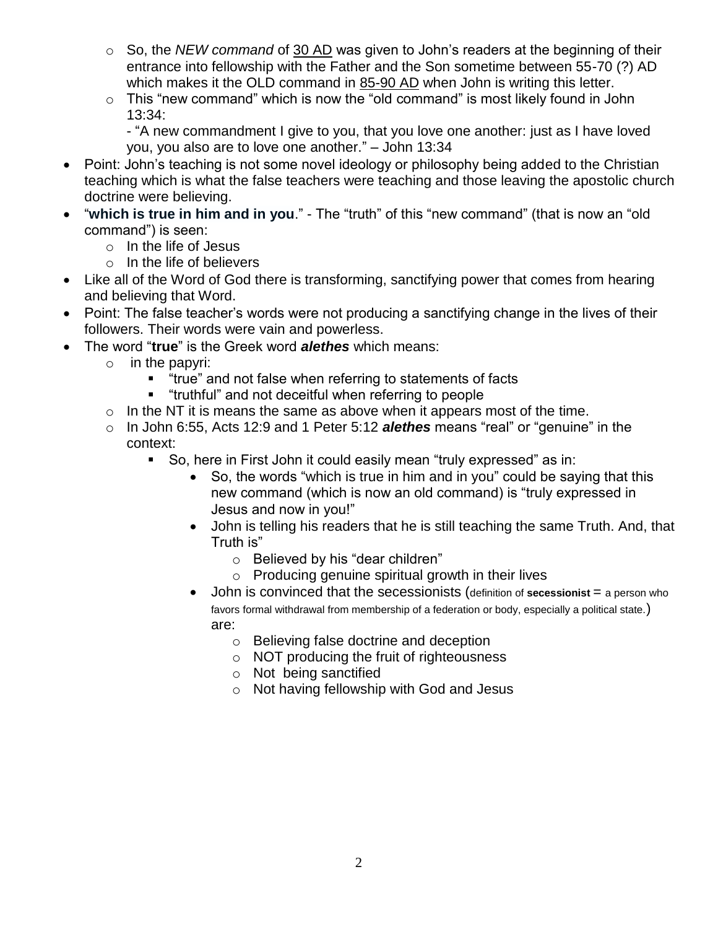- o So, the *NEW command* of 30 AD was given to John's readers at the beginning of their entrance into fellowship with the Father and the Son sometime between 55-70 (?) AD which makes it the OLD command in 85-90 AD when John is writing this letter.
- $\circ$  This "new command" which is now the "old command" is most likely found in John 13:34:

- "A new commandment I give to you, that you love one another: just as I have loved you, you also are to love one another." – John 13:34

- Point: John's teaching is not some novel ideology or philosophy being added to the Christian teaching which is what the false teachers were teaching and those leaving the apostolic church doctrine were believing.
- "**which is true in him and in you**." The "truth" of this "new command" (that is now an "old command") is seen:
	- o In the life of Jesus
	- o In the life of believers
- Like all of the Word of God there is transforming, sanctifying power that comes from hearing and believing that Word.
- Point: The false teacher's words were not producing a sanctifying change in the lives of their followers. Their words were vain and powerless.
- The word "**true**" is the Greek word *alethes* which means:
	- o in the papyri:
		- **"** "true" and not false when referring to statements of facts
		- "truthful" and not deceitful when referring to people
	- $\circ$  In the NT it is means the same as above when it appears most of the time.
	- o In John 6:55, Acts 12:9 and 1 Peter 5:12 *alethes* means "real" or "genuine" in the context:
		- So, here in First John it could easily mean "truly expressed" as in:
			- So, the words "which is true in him and in you" could be saying that this new command (which is now an old command) is "truly expressed in Jesus and now in you!"
			- John is telling his readers that he is still teaching the same Truth. And, that Truth is"
				- o Believed by his "dear children"
				- $\circ$  Producing genuine spiritual growth in their lives
			- John is convinced that the secessionists (definition of **secessionist** = a person who favors formal withdrawal from membership of a federation or body, especially a political state.) are:
				- o Believing false doctrine and deception
				- o NOT producing the fruit of righteousness
				- o Not being sanctified
				- o Not having fellowship with God and Jesus